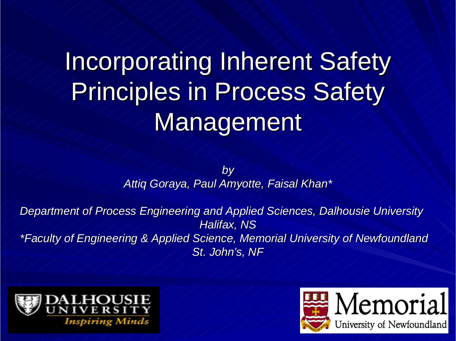# Incorporating Inherent Safety Principles in Process Safety Management

*by Attiq Goraya, Paul Amyotte, Faisal Khan\* Attiq Goraya, Paul Amyotte, Faisal Khan\**

*Department of Process Engineering and Applied Sciences, Dalhousie University*  $H$ *Alifax, NS \*Faculty of Engineering & Applied \*Faculty of Engineering & Applied Science, Memorial University o Science, Memorial University of Newfoundland f Newfoundland*  $St.$  John's, NF



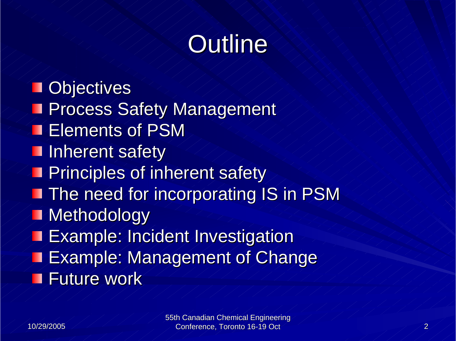## Outline

**Objectives Process Safety Management** Elements of PSM **Inherent safety Principles of inherent safety The need for incorporating IS in PSM Methodology Example: Incident Investigation Example: Management of Change** Future work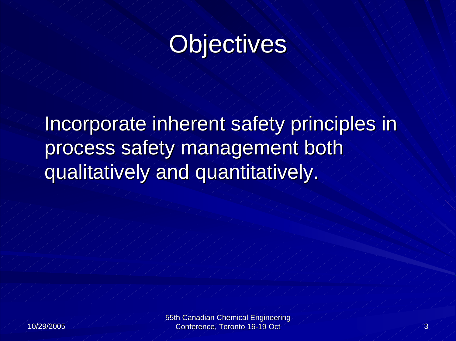## Objectives

Incorporate inherent safety principles in process safety management both qualitatively and quantitatively.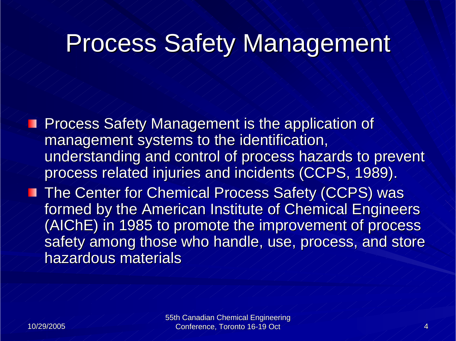#### **Process Safety Management**

**Process Safety Management is the application of** management systems to the identification, understanding and control of process hazards to prevent process related injuries and incidents (CCPS, 1989). process related injuries and incidents (CCPS, 1989). The Center for Chemical Process Safety (CCPS) was formed by the American Institute of Chemical Engineers (AIChE) in 1985 to promote the improvement of process safety among those who handle, use, process, and store hazardous materials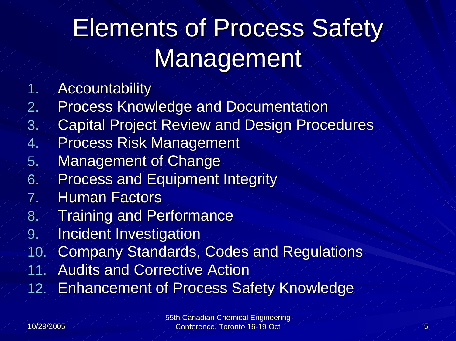# Elements of Process Safety Management

- **Accountability**
- 2.Process Knowledge and Documentation
- 3. Capital Project Review and Design Procedures
- 4.**Process Risk Management**
- 5. Management of Change
- 6. Process and Equipment Integrity
- 7.. Human Factors
- 8. Training and Performance
- 9. Incident Investigation
- 10. Company Standards, Codes and Regulations
- 11.. Audits and Corrective Action
- 12.**Enhancement of Process Safety Knowledge**

1.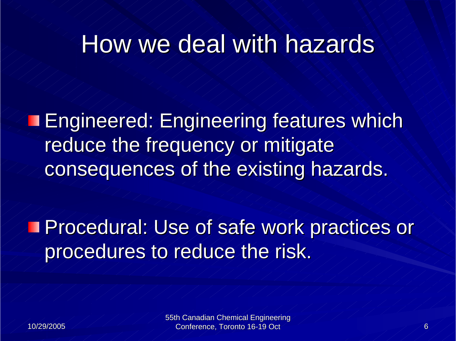#### How we deal with hazards

**Engineered: Engineering features which** reduce the frequency or mitigate consequences of the existing hazards.

Procedural: Use of safe work practices or Procedural: Use of safe work practices or procedures to reduce the risk.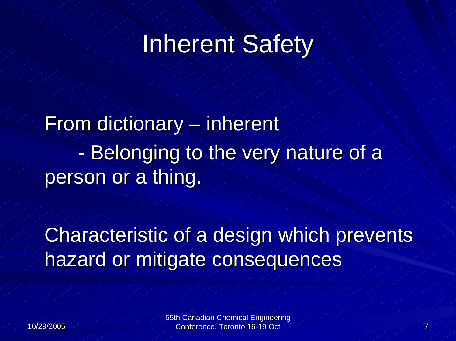From dictionary – inherent - Belonging to the very nature of a person or a thing.

Characteristic of a design which prevents hazard or mitigate consequences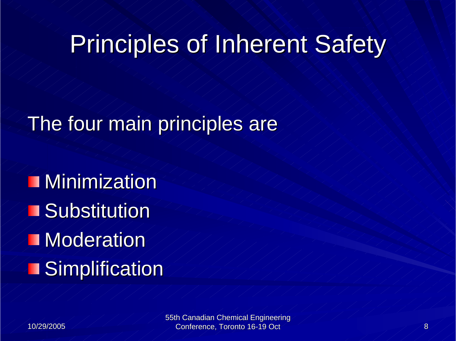## Principles of Inherent Safety

#### The four main principles are

Minimization **Substitution Moderation Simplification**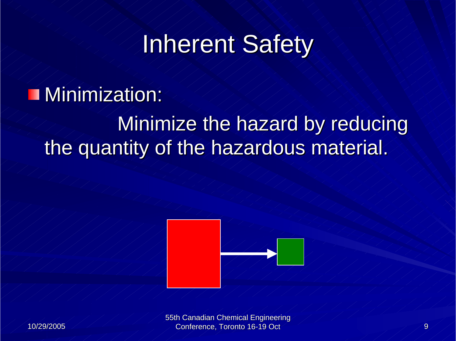#### $M$ inimization:

#### Minimize the hazard by reducing the quantity of the hazardous material.



10/29/2005 10/29/2005

55th Canadian Chemical Engineering Conference, Toronto 16-19 Oct 9 Conference, Toronto 16-19 Oct 9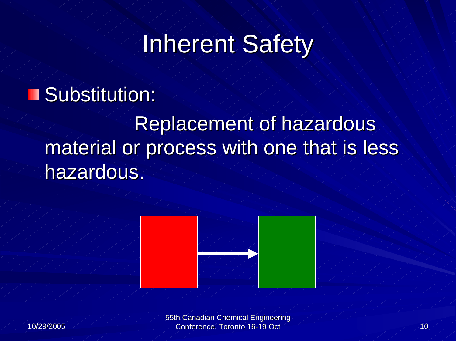#### **Substitution:**

#### Replacement of hazardous material or process with one that is less hazardous.





55th Canadian Chemical Engineering Conference, Toronto 16-19 Oct 100 and 100 and 100 and 100 and 100 and 100 and 100 and 100 and 100 and 100 and 100 and 100 and 100 and 100 and 100 and 100 and 100 and 100 and 100 and 100 and 100 and 100 and 100 and 100 and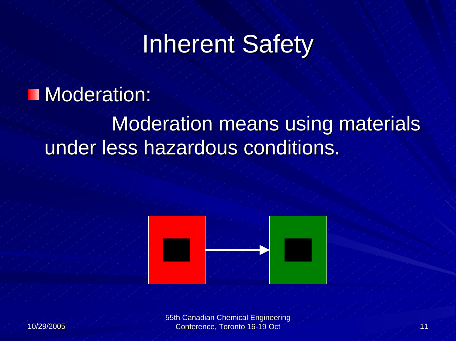#### **Moderation:**

#### Moderation means using materials under less hazardous conditions.



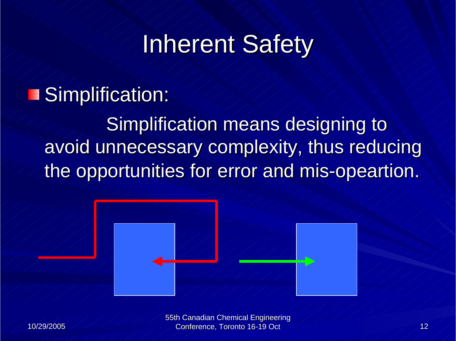#### **Simplification:**

Simplification means designing to avoid unnecessary complexity, thus reducing the opportunities for error and mis-opeartion.





55th Canadian Chemical Engineering Conference, Toronto 16-19 Oct 12 Conference, Toronto 16-19 Oct 12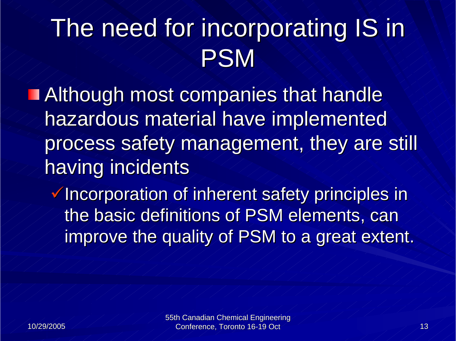## The need for incorporating IS in PSM

**Although most companies that handle** hazardous material have implemented process safety management, they are still having incidents

 $\checkmark$  Incorporation of inherent safety principles in the basic definitions of PSM elements, can improve the quality of PSM to a great extent.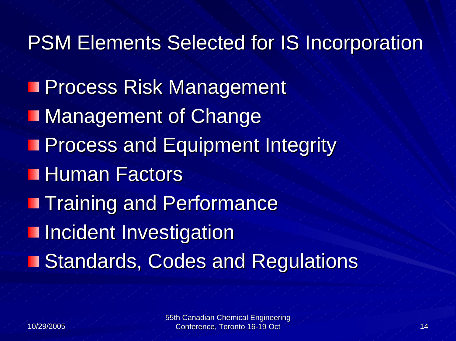PSM Elements Selected for IS Incorporation **T Process Risk Management Management of Change Process and Equipment Integrity** Human Factors **Training and Performance Incident Investigation** Standards, Codes and Regulations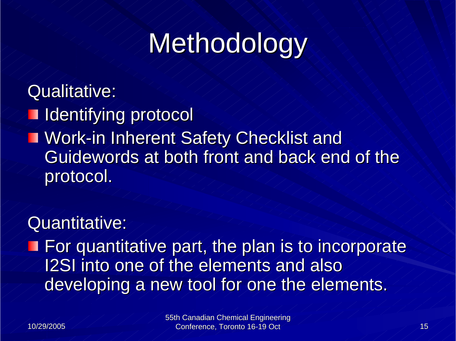# Methodology

#### Qualitative:

**I** Identifying protocol **T Work-in Inherent Safety Checklist and** Guidewords at both front and back end of the protocol.

#### Quantitative:

 $\blacksquare$  For quantitative part, the plan is to incorporate I2SI into one of the elements and also developing a new tool for one the elements.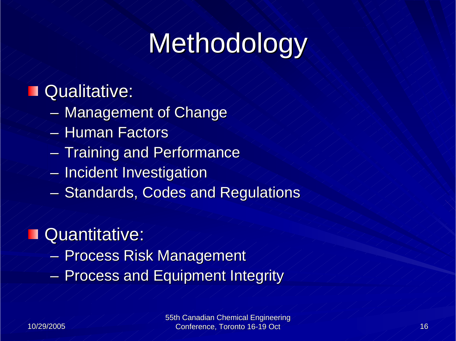# Methodology

#### Qualitative:

- $\mathcal{L}_{\mathcal{A}}$ – Management of Change
- $-$  Human Factors $^{\circ}$
- $-$  Training and Performance  $\overline{a}$
- $\mathcal{L}_{\mathcal{A}}$  $-$  Incident Investigation
- Standards, Codes and Regulations

#### Quantitative: п

- Process Risk Management
- $\mathcal{L}_{\mathcal{A}}$ **- Process and Equipment Integrity**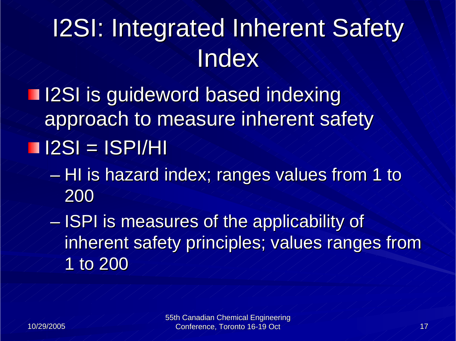# I2SI: Integrated Inherent Safety **Index**

Illet 12SI is guideword based indexing approach to measure inherent safety  $I2SI = ISPI/HI$ 

 $-$  HI is hazard index; ranges values from 1 to 200

 $-$  ISPI is measures of the applicability of  $\epsilon$ inherent safety principles; values ranges from 1 to 200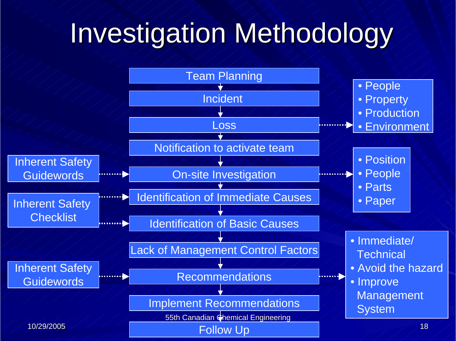# Investigation Methodology

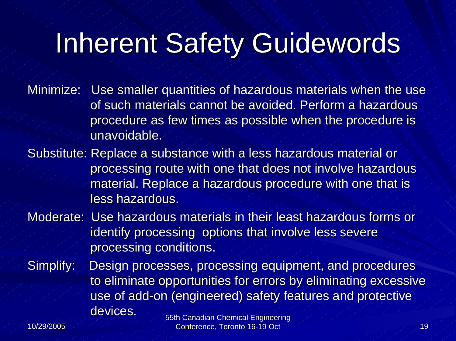## Inherent Safety Guidewords

Minimize: Use smaller quantities of hazardous materials when the use of such materials cannot be avoided. Perform a hazardous procedure as few times as possible when the procedure is unavoidable.

Substitute: Replace a substance with a less hazardous material or processing route with one that does not involve hazardous material. Replace a hazardous procedure with one that is less hazardous.

Moderate: Use hazardous materials in their least hazardous forms or  $\epsilon$ identify processing options that involve less severe processing conditions.

Simplify: Design processes, processing equipment, and procedures to eliminate opportunities for errors by eliminating excessive use of add-on (engineered) safety features and protective  $\epsilon$ devices.

10/29/2005 10/29/2005

55th Canadian Chemical Engineering Conference, Toronto 16-19 Oct 19 Section 19 November 2014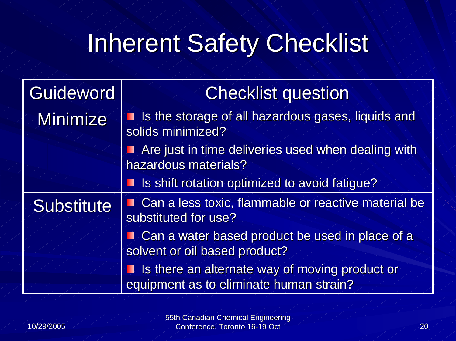## Inherent Safety Checklist

| Guideword         | <b>Checklist question</b>                                                                   |
|-------------------|---------------------------------------------------------------------------------------------|
| <b>Minimize</b>   | ightharpoonup Is the storage of all hazardous gases, liquids and<br>solids minimized?       |
|                   | Are just in time deliveries used when dealing with<br>Ш<br>hazardous materials?             |
|                   | I Is shift rotation optimized to avoid fatigue?                                             |
| <b>Substitute</b> | Can a less toxic, flammable or reactive material be<br>substituted for use?                 |
|                   | Can a water based product be used in place of a<br>solvent or oil based product?            |
|                   | I Is there an alternate way of moving product or<br>equipment as to eliminate human strain? |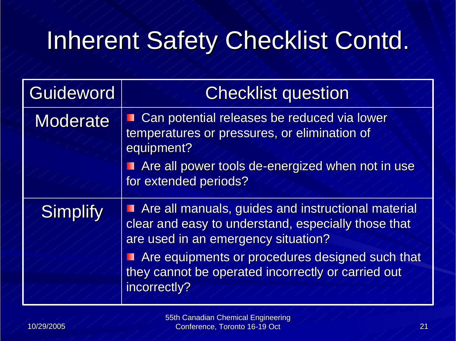## Inherent Safety Checklist Contd.

| Guideword       | <b>Checklist question</b>                                                                                                                                                                                                                                                 |
|-----------------|---------------------------------------------------------------------------------------------------------------------------------------------------------------------------------------------------------------------------------------------------------------------------|
| <b>Moderate</b> | Can potential releases be reduced via lower<br>temperatures or pressures, or elimination of<br>equipment?                                                                                                                                                                 |
|                 | Are all power tools de-energized when not in use<br>for extended periods?                                                                                                                                                                                                 |
| <b>Simplify</b> | Are all manuals, guides and instructional material<br>clear and easy to understand, especially those that<br>are used in an emergency situation?<br>Are equipments or procedures designed such that<br>they cannot be operated incorrectly or carried out<br>incorrectly? |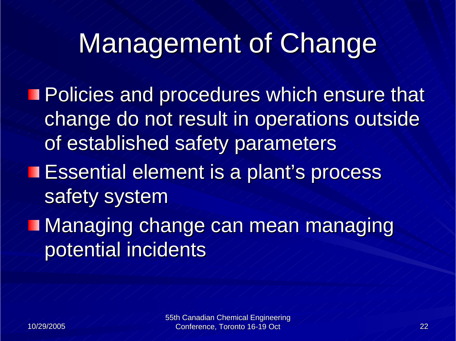# Management of Change

**Policies and procedures which ensure that** change do not result in operations outside of established safety parameters **Essential element is a plant's process** safety system **Managing change can mean managing** potential incidents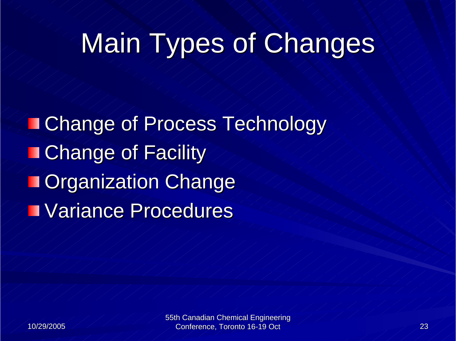# Main Types of Changes

**Change of Process Technology Change of Facility TOrganization Change Variance Procedures**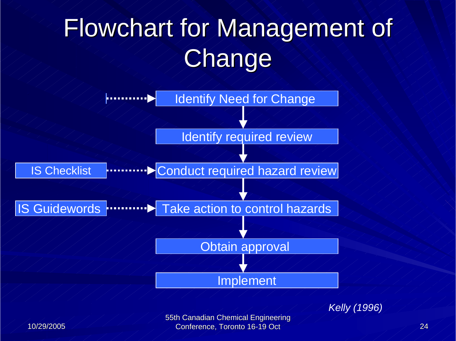# Flowchart for Management of **Change**



*Kelly (1996)*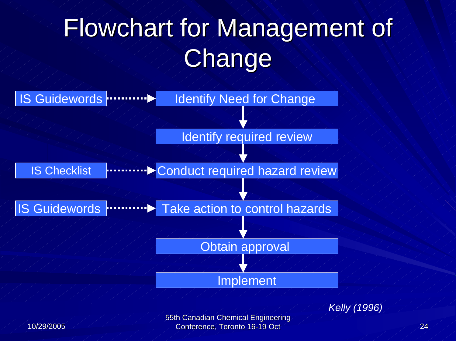# Flowchart for Management of **Change**



*Kelly (1996)*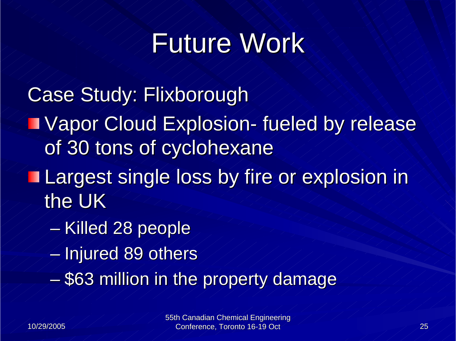# Future Work

Case Study: Flixborough **IVapor Cloud Explosion- fueled by release** of 30 tons of cyclohexane Largest single loss by fire or explosion in Largest single loss by fire or explosion in the UK  $-$ Killed 28 people  $\overline{\phantom{a}}$  $\mathcal{L}_{\mathcal{A}}$  $-$  Injured 89 others  $\sqrt{ }$  $-$  \$63 million in the property damage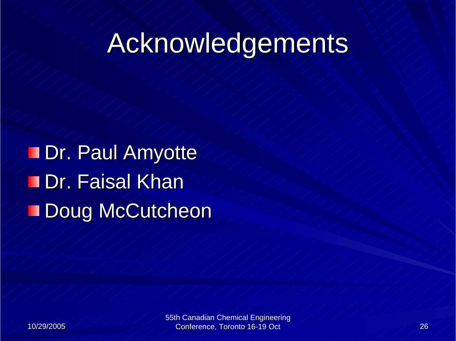# Acknowledgements

Dr. Paul Amyotte **TDr. Faisal Khan** Doug McCutcheon

55th Canadian Chemical Engineering Conference, Toronto 16-19 Oct 26 Conference, 26